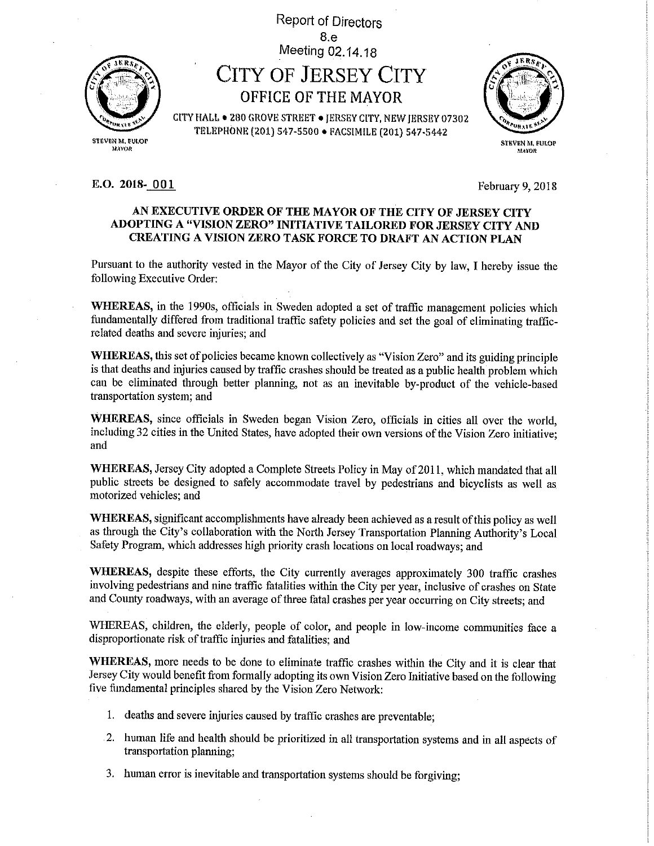

stfiveN M, Fuior **MAYOR** 

# 8.e Meeting 02.14.18 CITY OF JERSEY CITY OFFICE OP THE MAYOR

Report of Directors

CtTYHALL • 280 GROVE STREET • JERSBYGITY, NEW JERSEy 07302 TELEPHONE (2013 S47-S500 • FACSIMILE (201) 547.5442

> STEVEN M, FULOP iMros

#### **E.O. 2018** 001 February 9, 2018

### AN EXECUTIVE ORDER OF THE MAYOR OF THE CITY OF JERSEY CITY ADOPTING A "VISION ZERO" INITIATIVE TAILORED FOR JERSEY CITY AND CREATING A VISION ZERO TASK FORCE TO DRAFT AN ACTION PLAN

Pursuant to the authority vested in the Mayor of the City of Jersey City by law, I hereby issue the following Executive Order:

WHEREAS, in the 1990s, officials in Sweden adopted a set of traffic management policies which fundamentally differed from traditional traffic safety policies and set the goal of eliminating trafficrelated deaths and severe injuries; and

WHEREAS, this set of policies became known collectively as "Vision Zero" and its guiding principle is that deaths and injuries caused by traffic crashes should be treated as a public health problem which can be eliminated through better planning, not as an inevitable by-product of the vehicle-based transportation system; and

WHEREAS, since officials in Sweden began Vision Zero, officials in cities all over the world, including 32 cities in the United States, have adopted their own versions of the Vision Zero initiative; and

WHEREAS, Jersey City adopted a Complete Streets Policy in May of 2011, which mandated that all public streets be designed to safely accommodate travel by pedestrians and bicyclists as well as motorized vehicles; and

WHEREAS, significant accomplishments have already been achieved as a result of this policy as well as through the City's collaboration with the North Jersey Transportation Planning Authority's Local Safety Program, which addresses high priority crash locations on local roadways; and

WHEREAS, despite these efforts, the City currently averages approximately 300 traffic crashes involving pedestrians and nine traffic fatalities within the City per year, inclusive of crashes on State and County roadways, with an average of three fatal crashes per year occurring on City streets; and

WHEREAS, children, the elderly, people of color, and people in low-income communities face a disproportionate risk of traffic injuries and fatalities; and

WHEREAS, more needs to be done to eliminate traffic crashes within the City and it is clear that Jersey City would benefit from formally adopting its own Vision Zero Initiative based on the following five fundamental principles shared by the Vision Zero Network:

- 1. deaths and severe injuries caused by traffic crashes are preventable;
- 2. human life and health should be prioritized in all transportation systems and in all aspects of transportation plamimg;
- 3. human error is inevitable and transportation systems should be forgiving;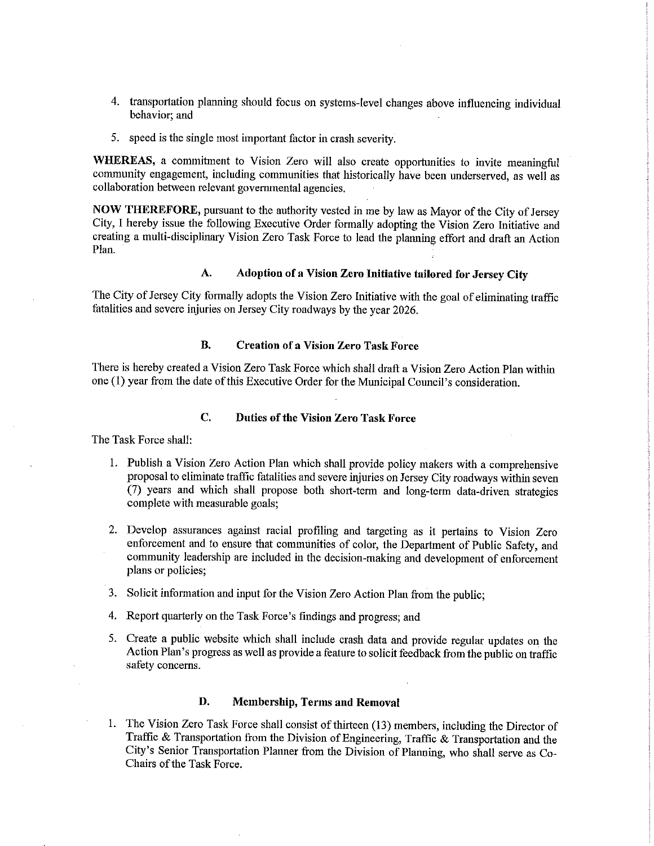- 4. transportation planning should focus on systems-level changes above influencing individual behavior; and
- 5. speed is the single most important factor in crash severity.

WHEREAS, a commitment to Vision Zero will also create opportunities to invite meaningful community engagement, including communities that historically have been underserved, as well as collaboration between relevant governmental agencies.

NOW THEREFORE, pursuant to the authority vested in me by law as Mayor of the City of Jersey City, I hereby issue the following Executive Order formally adopting the Vision Zero Initiative and creating a multi-disciplinary Vision Zero Task Force to lead the planning effort and draft an Action Plan.

## A. Adoption of a Vision Zero Initiative tailored for Jersey City

The City of Jersey City formally adopts the Vision Zero Initiative with the goal of eliminating traffic fatalities and severe injuries on Jersey City roadways by the year 2026.

#### B. Creation of a Vision Zero Task Force

There is hereby created a Vision Zero Task Force which shall draft a Vision Zero Action Plan within one (1) year from the date of this Executive Order for the Municipal Council's consideration.

### C. Duties of the Vision Zero Task Force

The Task Force shall:

- 1. Publish a Vision Zero Action Plan which shall provide policy makers with a comprehensive proposal to eliminate traffic fatalities and severe injuries on Jersey City roadways within seven (7) years and which shall propose both short-term and long-term data-driven strategies complete with measurable goals;
- 2. Develop assurances against racial profiling and targeting as it pertains to Vision Zero enforcement and to ensure that communities of color, the Department of Public Safety, and community leadership are included in the decision-making and development of enforcement plans or policies;
- 3. Solicit information and input for the Vision Zero Action Plan from the public;
- 4. Report quarterly on the Task Force's findings and progress; and
- 5. Create a public website which shall include crash data and provide regular updates on the Action Plan's progress as well as provide a feature to solicit feedback from the public on traffic safety concerns.

#### D. Membership, Terms and Removal

1. The Vision Zero Task Force shall consist of thirteen (13) members, including the Director of Traffic & Transportation from the Division of Engineering, Traffic & Transportation and the City's Senior Transportation Planner from the Division of Planning, who shall serve as Co-Chairs of the Task Force.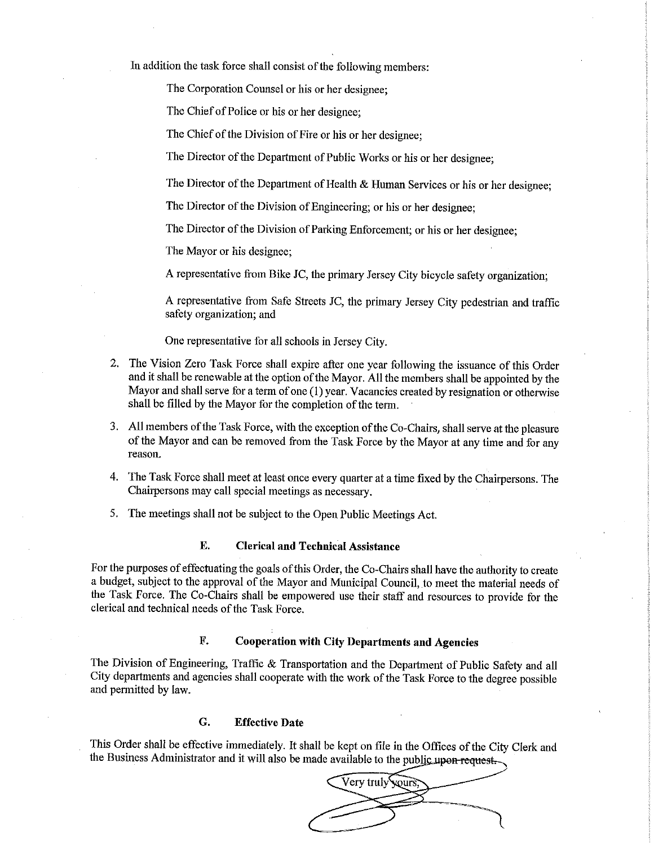In addition the task force shall consist of the following members:

The Corporation Counsel or his or her designee;

The Chief of Police or his or her designee;

The Chief of the Division of Fire or his or her designee;

The Director of the Department of Public Works or his or her designee;

The Director of the Department of Health & Human Services or his or her designee;

The Director of the Division of Engineering; or his or her designee;

The Director of the Division of Parking Enforcement; or his or her designee;

The Mayor or his designee;

A representative from Bike JC, the primary Jersey City bicycle safety organization;

A representative from Safe Streets JC, the primary Jersey City pedestrian and traffic safety organization; and

One representative for all schools in Jersey City.

- 2. The Vision Zero Task Force shall expire after one year following the issuance of this Order and it shall be renewable at the option of the Mayor. All the members shall be appointed by the Mayor and shall serve for aterm of one (1) year. Vacancies created by resignation or otherwise shall be filled by the Mayor for the completion of the term.
- 3. All members of the Task Force, with the exception of the Co-Chairs, shall serve at the pleasure of the Mayor and can be removed from the Task Force by the Mayor at any time and for any reason.
- 4. The Task Force shall meet at least once every quarter at a time fixed by the Chairpersons. The Chairpersons may call special meetings as necessary.
- 5. The meetings shall not be subject to the Open Public Meetings Act.

#### E. Clerical and Technical Assistance

For the purposes of effectuating the goals of this Order, the Co-Chairs shall have the authority to create a budget, subject to the approval of the Mayor and Municipal Council, to meet the material needs of the Task Force. The Co-Chairs shall be empowered use their staff and resources to provide for the clerical and technical needs of the Task Force.

### F. Cooperation with City Departments and Agencies

The Division of Engineering, Traffic & Transportation and the Department of Public Safety and all City departments and agencies shall cooperate with the work of the Task Force to the degree possible and permitted by law.

#### G. Effective Date

This Order shall be effective immediately. It shall be kept on file in the Offices of the City Clerk and the Business Administrator and it will also be made available to the public upon request.

Very truly vours